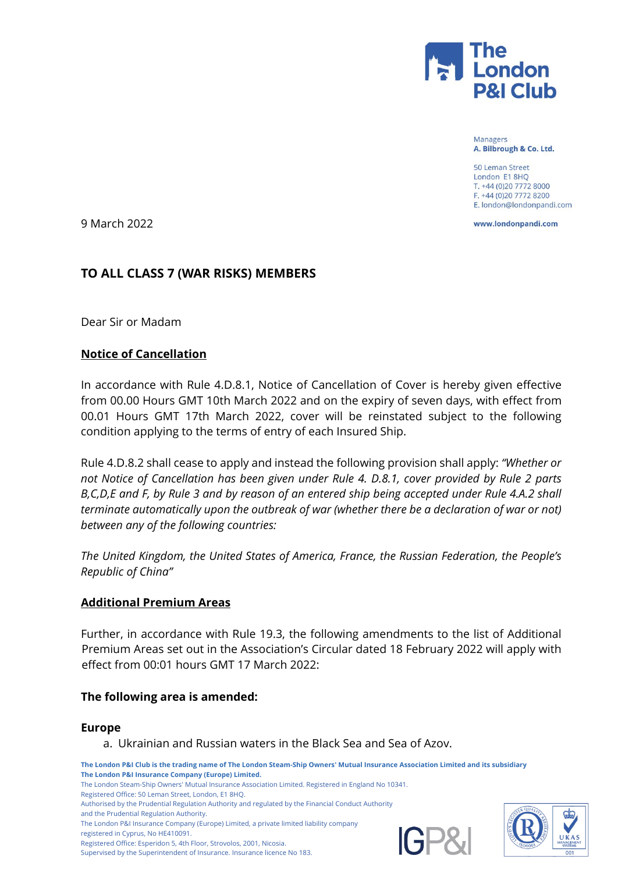

Managers A. Bilbrough & Co. Ltd.

50 Leman Street London E1 8HQ T. +44 (0)20 7772 8000 F. +44 (0)20 7772 8200 E. london@londonpandi.com

www.londonpandi.com

9 March 2022

## **TO ALL CLASS 7 (WAR RISKS) MEMBERS**

Dear Sir or Madam

### **Notice of Cancellation**

In accordance with Rule 4.D.8.1, Notice of Cancellation of Cover is hereby given effective from 00.00 Hours GMT 10th March 2022 and on the expiry of seven days, with effect from 00.01 Hours GMT 17th March 2022, cover will be reinstated subject to the following condition applying to the terms of entry of each Insured Ship.

Rule 4.D.8.2 shall cease to apply and instead the following provision shall apply: *"Whether or not Notice of Cancellation has been given under Rule 4. D.8.1, cover provided by Rule 2 parts B,C,D,E and F, by Rule 3 and by reason of an entered ship being accepted under Rule 4.A.2 shall terminate automatically upon the outbreak of war (whether there be a declaration of war or not) between any of the following countries:* 

*The United Kingdom, the United States of America, France, the Russian Federation, the People's Republic of China"*

#### **Additional Premium Areas**

Further, in accordance with Rule 19.3, the following amendments to the list of Additional Premium Areas set out in the Association's Circular dated 18 February 2022 will apply with effect from 00:01 hours GMT 17 March 2022:

#### **The following area is amended:**

#### **Europe**

a. Ukrainian and Russian waters in the Black Sea and Sea of Azov.

**The London P&I Club is the trading name of The London Steam-Ship Owners' Mutual Insurance Association Limited and its subsidiary The London P&I Insurance Company (Europe) Limited.** The London Steam-Ship Owners' Mutual Insurance Association Limited. Registered in England No 10341. Registered Office: 50 Leman Street, London, E1 8HQ. Authorised by the Prudential Regulation Authority and regulated by the Financial Conduct Authority and the Prudential Regulation Authority.

The London P&I Insurance Company (Europe) Limited, a private limited liability company

registered in Cyprus, No HE410091.

Registered Office: Esperidon 5, 4th Floor, Strovolos, 2001, Nicosia.

Supervised by the Superintendent of Insurance. Insurance licence No 183.



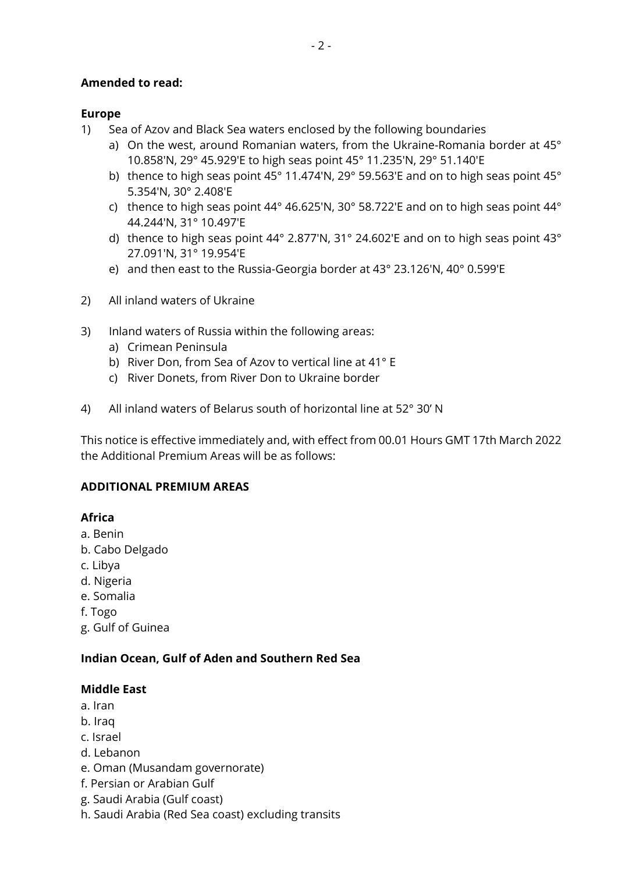## **Amended to read:**

## **Europe**

- 1) Sea of Azov and Black Sea waters enclosed by the following boundaries
	- a) On the west, around Romanian waters, from the Ukraine-Romania border at 45° 10.858'N, 29° 45.929'E to high seas point 45° 11.235'N, 29° 51.140'E
	- b) thence to high seas point 45° 11.474'N, 29° 59.563'E and on to high seas point 45° 5.354'N, 30° 2.408'E
	- c) thence to high seas point 44° 46.625'N, 30° 58.722'E and on to high seas point 44° 44.244'N, 31° 10.497'E
	- d) thence to high seas point 44° 2.877'N, 31° 24.602'E and on to high seas point 43° 27.091'N, 31° 19.954'E
	- e) and then east to the Russia-Georgia border at 43° 23.126'N, 40° 0.599'E
- 2) All inland waters of Ukraine
- 3) Inland waters of Russia within the following areas:
	- a) Crimean Peninsula
	- b) River Don, from Sea of Azov to vertical line at 41° E
	- c) River Donets, from River Don to Ukraine border
- 4) All inland waters of Belarus south of horizontal line at 52° 30' N

This notice is effective immediately and, with effect from 00.01 Hours GMT 17th March 2022 the Additional Premium Areas will be as follows:

### **ADDITIONAL PREMIUM AREAS**

# **Africa**

- a. Benin
- b. Cabo Delgado
- c. Libya
- d. Nigeria
- e. Somalia
- f. Togo
- g. Gulf of Guinea

### **Indian Ocean, Gulf of Aden and Southern Red Sea**

### **Middle East**

- a. Iran
- b. Iraq
- c. Israel
- d. Lebanon
- e. Oman (Musandam governorate)
- f. Persian or Arabian Gulf
- g. Saudi Arabia (Gulf coast)
- h. Saudi Arabia (Red Sea coast) excluding transits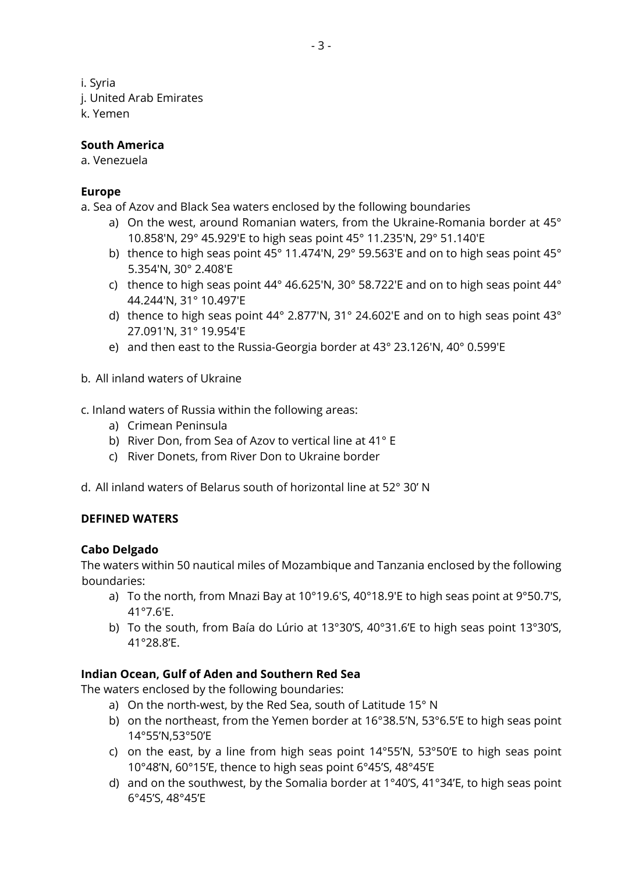i. Syria

- j. United Arab Emirates
- k. Yemen

## **South America**

a. Venezuela

# **Europe**

a. Sea of Azov and Black Sea waters enclosed by the following boundaries

- a) On the west, around Romanian waters, from the Ukraine-Romania border at 45° 10.858'N, 29° 45.929'E to high seas point 45° 11.235'N, 29° 51.140'E
- b) thence to high seas point 45° 11.474'N, 29° 59.563'E and on to high seas point 45° 5.354'N, 30° 2.408'E
- c) thence to high seas point 44° 46.625'N, 30° 58.722'E and on to high seas point 44° 44.244'N, 31° 10.497'E
- d) thence to high seas point 44° 2.877'N, 31° 24.602'E and on to high seas point 43° 27.091'N, 31° 19.954'E
- e) and then east to the Russia-Georgia border at 43° 23.126'N, 40° 0.599'E
- b. All inland waters of Ukraine
- c. Inland waters of Russia within the following areas:
	- a) Crimean Peninsula
	- b) River Don, from Sea of Azov to vertical line at 41° E
	- c) River Donets, from River Don to Ukraine border
- d. All inland waters of Belarus south of horizontal line at 52° 30' N

# **DEFINED WATERS**

### **Cabo Delgado**

The waters within 50 nautical miles of Mozambique and Tanzania enclosed by the following boundaries:

- a) To the north, from Mnazi Bay at 10°19.6'S, 40°18.9'E to high seas point at 9°50.7'S, 41°7.6'E.
- b) To the south, from Baía do Lúrio at 13°30'S, 40°31.6'E to high seas point 13°30'S, 41°28.8'E.

# **Indian Ocean, Gulf of Aden and Southern Red Sea**

The waters enclosed by the following boundaries:

- a) On the north-west, by the Red Sea, south of Latitude 15° N
- b) on the northeast, from the Yemen border at 16°38.5'N, 53°6.5'E to high seas point 14°55'N,53°50'E
- c) on the east, by a line from high seas point 14°55'N, 53°50'E to high seas point 10°48'N, 60°15'E, thence to high seas point 6°45'S, 48°45'E
- d) and on the southwest, by the Somalia border at 1°40'S, 41°34'E, to high seas point 6°45'S, 48°45'E